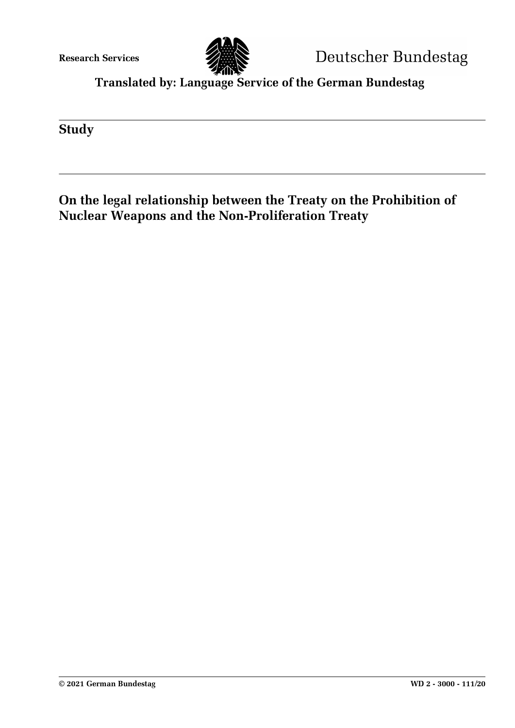**Research Services**



**Translated by: Language Service of the German Bundestag**

**Study**

# **On the legal relationship between the Treaty on the Prohibition of Nuclear Weapons and the Non-Proliferation Treaty**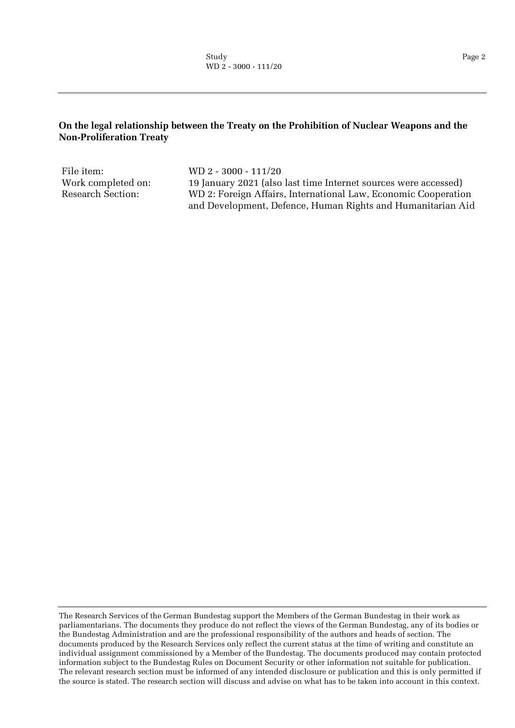#### **On the legal relationship between the Treaty on the Prohibition of Nuclear Weapons and the Non-Proliferation Treaty**

File item: WD 2 - 3000 - 111/20

Work completed on: 19 January 2021 (also last time Internet sources were accessed) Research Section: WD 2: Foreign Affairs, International Law, Economic Cooperation and Development, Defence, Human Rights and Humanitarian Aid

The Research Services of the German Bundestag support the Members of the German Bundestag in their work as parliamentarians. The documents they produce do not reflect the views of the German Bundestag, any of its bodies or the Bundestag Administration and are the professional responsibility of the authors and heads of section. The documents produced by the Research Services only reflect the current status at the time of writing and constitute an individual assignment commissioned by a Member of the Bundestag. The documents produced may contain protected information subject to the Bundestag Rules on Document Security or other information not suitable for publication. The relevant research section must be informed of any intended disclosure or publication and this is only permitted if the source is stated. The research section will discuss and advise on what has to be taken into account in this context.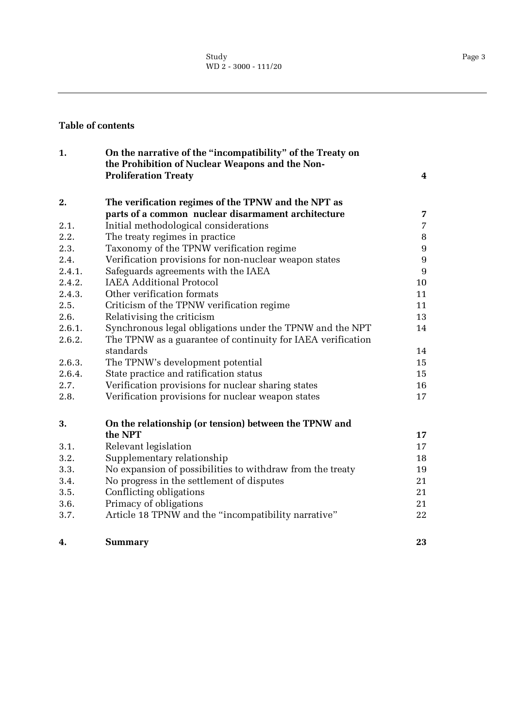#### **Table of contents**

| 1.     | On the narrative of the "incompatibility" of the Treaty on<br>the Prohibition of Nuclear Weapons and the Non- |                 |
|--------|---------------------------------------------------------------------------------------------------------------|-----------------|
|        | <b>Proliferation Treaty</b>                                                                                   | 4               |
| 2.     | The verification regimes of the TPNW and the NPT as                                                           |                 |
|        | parts of a common nuclear disarmament architecture                                                            | $\overline{7}$  |
| 2.1.   | Initial methodological considerations                                                                         | $\overline{7}$  |
| 2.2.   | The treaty regimes in practice                                                                                | $\bf{8}$        |
| 2.3.   | Taxonomy of the TPNW verification regime                                                                      | $9\phantom{.0}$ |
| 2.4.   | Verification provisions for non-nuclear weapon states                                                         | $\overline{9}$  |
| 2.4.1. | Safeguards agreements with the IAEA                                                                           | 9               |
| 2.4.2. | <b>IAEA Additional Protocol</b>                                                                               | 10              |
| 2.4.3. | Other verification formats                                                                                    | 11              |
| 2.5.   | Criticism of the TPNW verification regime                                                                     | 11              |
| 2.6.   | Relativising the criticism                                                                                    | 13              |
| 2.6.1. | Synchronous legal obligations under the TPNW and the NPT                                                      | 14              |
| 2.6.2. | The TPNW as a guarantee of continuity for IAEA verification                                                   |                 |
|        | standards                                                                                                     | 14              |
| 2.6.3. | The TPNW's development potential                                                                              | 15              |
| 2.6.4. | State practice and ratification status                                                                        | 15              |
| 2.7.   | Verification provisions for nuclear sharing states                                                            | 16              |
| 2.8.   | Verification provisions for nuclear weapon states                                                             | 17              |
| 3.     | On the relationship (or tension) between the TPNW and                                                         |                 |
|        | the NPT                                                                                                       | 17              |
| 3.1.   | Relevant legislation                                                                                          | 17              |
| 3.2.   | Supplementary relationship                                                                                    | 18              |
| 3.3.   | No expansion of possibilities to withdraw from the treaty                                                     | 19              |
| 3.4.   | No progress in the settlement of disputes                                                                     | 21              |
| 3.5.   | Conflicting obligations                                                                                       | 21              |
| 3.6.   | Primacy of obligations                                                                                        | 21              |
| 3.7.   | Article 18 TPNW and the "incompatibility narrative"                                                           | 22              |
| 4.     | <b>Summary</b>                                                                                                | 23              |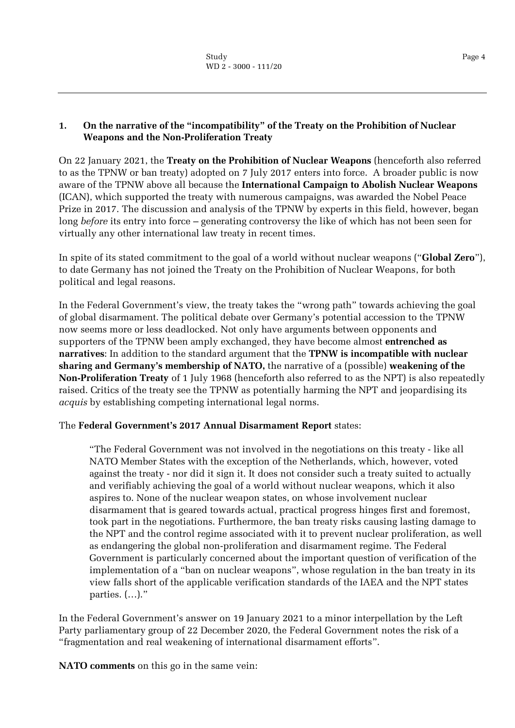#### <span id="page-3-0"></span>**1. On the narrative of the "incompatibility" of the Treaty on the Prohibition of Nuclear Weapons and the Non-Proliferation Treaty**

On 22 January 2021, the **Treaty on the Prohibition of Nuclear Weapons** (henceforth also referred to as the TPNW or ban treaty) adopted on 7 July 2017 enters into force. A broader public is now aware of the TPNW above all because the **International Campaign to Abolish Nuclear Weapons** (ICAN), which supported the treaty with numerous campaigns, was awarded the Nobel Peace Prize in 2017. The discussion and analysis of the TPNW by experts in this field, however, began long *before* its entry into force – generating controversy the like of which has not been seen for virtually any other international law treaty in recent times.

In spite of its stated commitment to the goal of a world without nuclear weapons ("**Global Zero**"), to date Germany has not joined the Treaty on the Prohibition of Nuclear Weapons, for both political and legal reasons.

In the Federal Government's view, the treaty takes the "wrong path" towards achieving the goal of global disarmament. The political debate over Germany's potential accession to the TPNW now seems more or less deadlocked. Not only have arguments between opponents and supporters of the TPNW been amply exchanged, they have become almost **entrenched as narratives**: In addition to the standard argument that the **TPNW is incompatible with nuclear sharing and Germany's membership of NATO,** the narrative of a (possible) **weakening of the Non-Proliferation Treaty** of 1 July 1968 (henceforth also referred to as the NPT) is also repeatedly raised. Critics of the treaty see the TPNW as potentially harming the NPT and jeopardising its *acquis* by establishing competing international legal norms.

# The **Federal Government's 2017 Annual Disarmament Report** states:

"The Federal Government was not involved in the negotiations on this treaty - like all NATO Member States with the exception of the Netherlands, which, however, voted against the treaty - nor did it sign it. It does not consider such a treaty suited to actually and verifiably achieving the goal of a world without nuclear weapons, which it also aspires to. None of the nuclear weapon states, on whose involvement nuclear disarmament that is geared towards actual, practical progress hinges first and foremost, took part in the negotiations. Furthermore, the ban treaty risks causing lasting damage to the NPT and the control regime associated with it to prevent nuclear proliferation, as well as endangering the global non-proliferation and disarmament regime. The Federal Government is particularly concerned about the important question of verification of the implementation of a "ban on nuclear weapons", whose regulation in the ban treaty in its view falls short of the applicable verification standards of the IAEA and the NPT states parties. (…)."

In the Federal Government's answer on 19 January 2021 to a minor interpellation by the Left Party parliamentary group of 22 December 2020, the Federal Government notes the risk of a "fragmentation and real weakening of international disarmament efforts".

**NATO comments** on this go in the same vein: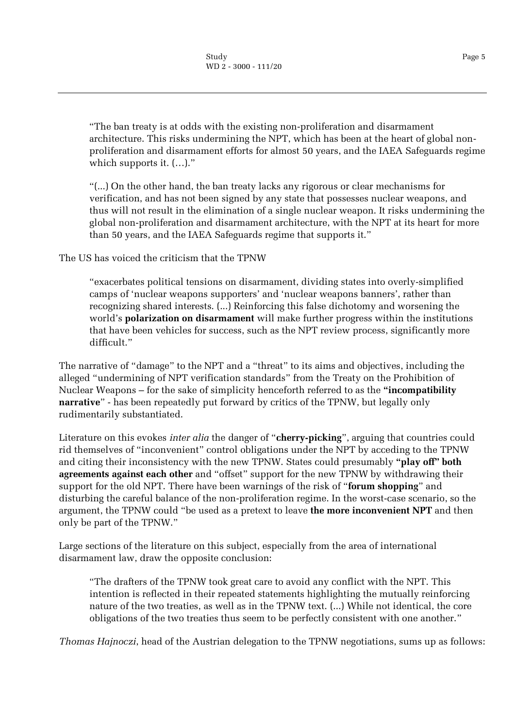"The ban treaty is at odds with the existing non-proliferation and disarmament architecture. This risks undermining the NPT, which has been at the heart of global nonproliferation and disarmament efforts for almost 50 years, and the IAEA Safeguards regime which supports it. (…)."

"(...) On the other hand, the ban treaty lacks any rigorous or clear mechanisms for verification, and has not been signed by any state that possesses nuclear weapons, and thus will not result in the elimination of a single nuclear weapon. It risks undermining the global non-proliferation and disarmament architecture, with the NPT at its heart for more than 50 years, and the IAEA Safeguards regime that supports it."

The US has voiced the criticism that the TPNW

"exacerbates political tensions on disarmament, dividing states into overly-simplified camps of 'nuclear weapons supporters' and 'nuclear weapons banners', rather than recognizing shared interests. (...) Reinforcing this false dichotomy and worsening the world's **polarization on disarmament** will make further progress within the institutions that have been vehicles for success, such as the NPT review process, significantly more difficult."

The narrative of "damage" to the NPT and a "threat" to its aims and objectives, including the alleged "undermining of NPT verification standards" from the Treaty on the Prohibition of Nuclear Weapons – for the sake of simplicity henceforth referred to as the **"incompatibility narrative**" - has been repeatedly put forward by critics of the TPNW, but legally only rudimentarily substantiated.

Literature on this evokes *inter alia* the danger of "**cherry-picking**", arguing that countries could rid themselves of "inconvenient" control obligations under the NPT by acceding to the TPNW and citing their inconsistency with the new TPNW. States could presumably **"play off" both agreements against each other** and "offset" support for the new TPNW by withdrawing their support for the old NPT. There have been warnings of the risk of "**forum shopping**" and disturbing the careful balance of the non-proliferation regime. In the worst-case scenario, so the argument, the TPNW could "be used as a pretext to leave **the more inconvenient NPT** and then only be part of the TPNW."

Large sections of the literature on this subject, especially from the area of international disarmament law, draw the opposite conclusion:

"The drafters of the TPNW took great care to avoid any conflict with the NPT. This intention is reflected in their repeated statements highlighting the mutually reinforcing nature of the two treaties, as well as in the TPNW text. (...) While not identical, the core obligations of the two treaties thus seem to be perfectly consistent with one another."

*Thomas Hajnoczi*, head of the Austrian delegation to the TPNW negotiations, sums up as follows: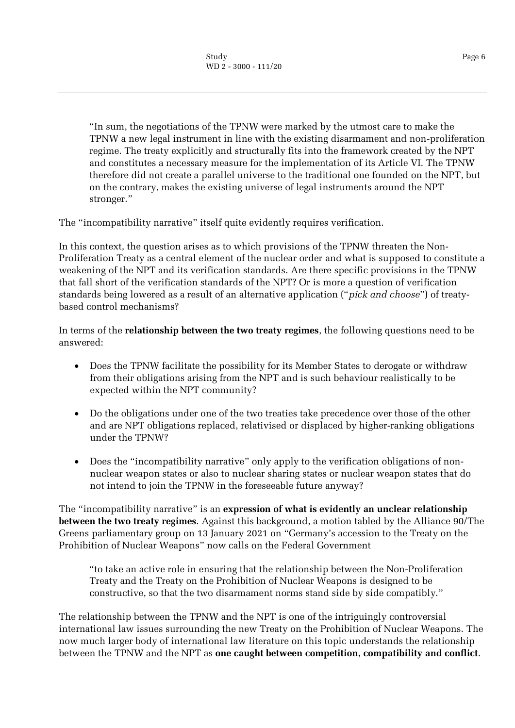"In sum, the negotiations of the TPNW were marked by the utmost care to make the TPNW a new legal instrument in line with the existing disarmament and non-proliferation regime. The treaty explicitly and structurally fits into the framework created by the NPT and constitutes a necessary measure for the implementation of its Article VI. The TPNW therefore did not create a parallel universe to the traditional one founded on the NPT, but on the contrary, makes the existing universe of legal instruments around the NPT stronger."

The "incompatibility narrative" itself quite evidently requires verification.

In this context, the question arises as to which provisions of the TPNW threaten the Non-Proliferation Treaty as a central element of the nuclear order and what is supposed to constitute a weakening of the NPT and its verification standards. Are there specific provisions in the TPNW that fall short of the verification standards of the NPT? Or is more a question of verification standards being lowered as a result of an alternative application ("*pick and choose*") of treatybased control mechanisms?

In terms of the **relationship between the two treaty regimes**, the following questions need to be answered:

- Does the TPNW facilitate the possibility for its Member States to derogate or withdraw from their obligations arising from the NPT and is such behaviour realistically to be expected within the NPT community?
- Do the obligations under one of the two treaties take precedence over those of the other and are NPT obligations replaced, relativised or displaced by higher-ranking obligations under the TPNW?
- Does the "incompatibility narrative" only apply to the verification obligations of nonnuclear weapon states or also to nuclear sharing states or nuclear weapon states that do not intend to join the TPNW in the foreseeable future anyway?

The "incompatibility narrative" is an **expression of what is evidently an unclear relationship between the two treaty regimes**. Against this background, a motion tabled by the Alliance 90/The Greens parliamentary group on 13 January 2021 on "Germany's accession to the Treaty on the Prohibition of Nuclear Weapons" now calls on the Federal Government

"to take an active role in ensuring that the relationship between the Non-Proliferation Treaty and the Treaty on the Prohibition of Nuclear Weapons is designed to be constructive, so that the two disarmament norms stand side by side compatibly."

The relationship between the TPNW and the NPT is one of the intriguingly controversial international law issues surrounding the new Treaty on the Prohibition of Nuclear Weapons. The now much larger body of international law literature on this topic understands the relationship between the TPNW and the NPT as **one caught between competition, compatibility and conflict**.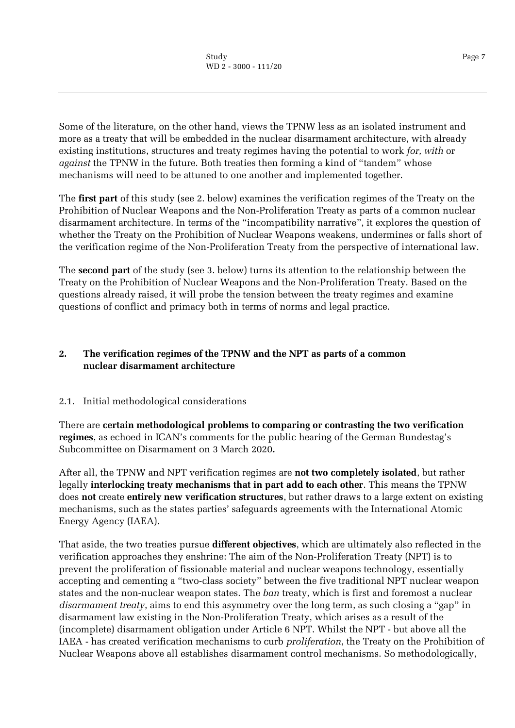Some of the literature, on the other hand, views the TPNW less as an isolated instrument and more as a treaty that will be embedded in the nuclear disarmament architecture, with already existing institutions, structures and treaty regimes having the potential to work *for, with* or *against* the TPNW in the future. Both treaties then forming a kind of "tandem" whose mechanisms will need to be attuned to one another and implemented together.

The **first part** of this study (see 2. below) examines the verification regimes of the Treaty on the Prohibition of Nuclear Weapons and the Non-Proliferation Treaty as parts of a common nuclear disarmament architecture. In terms of the "incompatibility narrative", it explores the question of whether the Treaty on the Prohibition of Nuclear Weapons weakens, undermines or falls short of the verification regime of the Non-Proliferation Treaty from the perspective of international law.

The **second part** of the study (see 3. below) turns its attention to the relationship between the Treaty on the Prohibition of Nuclear Weapons and the Non-Proliferation Treaty. Based on the questions already raised, it will probe the tension between the treaty regimes and examine questions of conflict and primacy both in terms of norms and legal practice.

# <span id="page-6-0"></span>**2. The verification regimes of the TPNW and the NPT as parts of a common nuclear disarmament architecture**

# <span id="page-6-1"></span>2.1. Initial methodological considerations

There are **certain methodological problems to comparing or contrasting the two verification regimes**, as echoed in ICAN's comments for the public hearing of the German Bundestag's Subcommittee on Disarmament on 3 March 2020**.**

After all, the TPNW and NPT verification regimes are **not two completely isolated**, but rather legally **interlocking treaty mechanisms that in part add to each other**. This means the TPNW does **not** create **entirely new verification structures**, but rather draws to a large extent on existing mechanisms, such as the states parties' safeguards agreements with the International Atomic Energy Agency (IAEA).

That aside, the two treaties pursue **different objectives**, which are ultimately also reflected in the verification approaches they enshrine: The aim of the Non-Proliferation Treaty (NPT) is to prevent the proliferation of fissionable material and nuclear weapons technology, essentially accepting and cementing a "two-class society" between the five traditional NPT nuclear weapon states and the non-nuclear weapon states. The *ban* treaty, which is first and foremost a nuclear *disarmament treaty*, aims to end this asymmetry over the long term, as such closing a "gap" in disarmament law existing in the Non-Proliferation Treaty, which arises as a result of the (incomplete) disarmament obligation under Article 6 NPT. Whilst the NPT - but above all the IAEA - has created verification mechanisms to curb *proliferation*, the Treaty on the Prohibition of Nuclear Weapons above all establishes disarmament control mechanisms. So methodologically,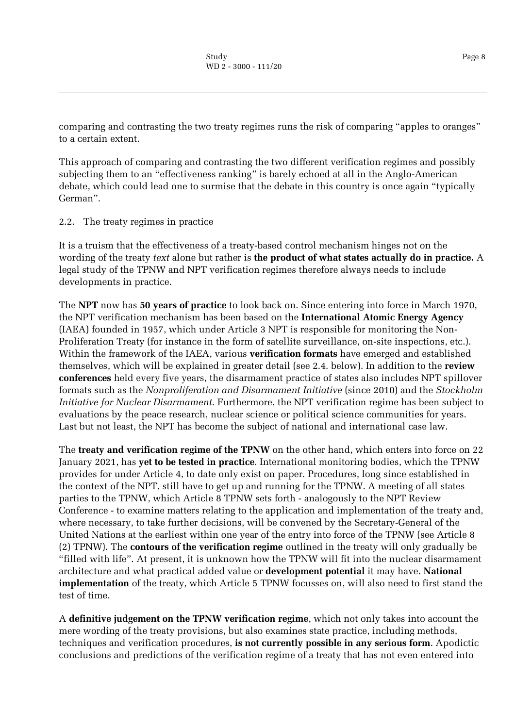comparing and contrasting the two treaty regimes runs the risk of comparing "apples to oranges" to a certain extent.

This approach of comparing and contrasting the two different verification regimes and possibly subjecting them to an "effectiveness ranking" is barely echoed at all in the Anglo-American debate, which could lead one to surmise that the debate in this country is once again "typically German".

<span id="page-7-0"></span>2.2. The treaty regimes in practice

It is a truism that the effectiveness of a treaty-based control mechanism hinges not on the wording of the treaty *text* alone but rather is **the product of what states actually do in practice.** A legal study of the TPNW and NPT verification regimes therefore always needs to include developments in practice.

The **NPT** now has **50 years of practice** to look back on. Since entering into force in March 1970, the NPT verification mechanism has been based on the **International Atomic Energy Agency** (IAEA) founded in 1957, which under Article 3 NPT is responsible for monitoring the Non-Proliferation Treaty (for instance in the form of satellite surveillance, on-site inspections, etc.). Within the framework of the IAEA, various **verification formats** have emerged and established themselves, which will be explained in greater detail (see 2.4. below). In addition to the **review conferences** held every five years, the disarmament practice of states also includes NPT spillover formats such as the *Nonproliferation and Disarmament Initiative* (since 2010) and the *Stockholm Initiative for Nuclear Disarmament*. Furthermore, the NPT verification regime has been subject to evaluations by the peace research, nuclear science or political science communities for years. Last but not least, the NPT has become the subject of national and international case law.

The **treaty and verification regime of the TPNW** on the other hand, which enters into force on 22 January 2021, has **yet to be tested in practice**. International monitoring bodies, which the TPNW provides for under Article 4, to date only exist on paper. Procedures, long since established in the context of the NPT, still have to get up and running for the TPNW. A meeting of all states parties to the TPNW, which Article 8 TPNW sets forth - analogously to the NPT Review Conference - to examine matters relating to the application and implementation of the treaty and, where necessary, to take further decisions, will be convened by the Secretary-General of the United Nations at the earliest within one year of the entry into force of the TPNW (see Article 8 (2) TPNW). The **contours of the verification regime** outlined in the treaty will only gradually be "filled with life". At present, it is unknown how the TPNW will fit into the nuclear disarmament architecture and what practical added value or **development potential** it may have. **National implementation** of the treaty, which Article 5 TPNW focusses on, will also need to first stand the test of time.

A **definitive judgement on the TPNW verification regime**, which not only takes into account the mere wording of the treaty provisions, but also examines state practice, including methods, techniques and verification procedures, **is not currently possible in any serious form**. Apodictic conclusions and predictions of the verification regime of a treaty that has not even entered into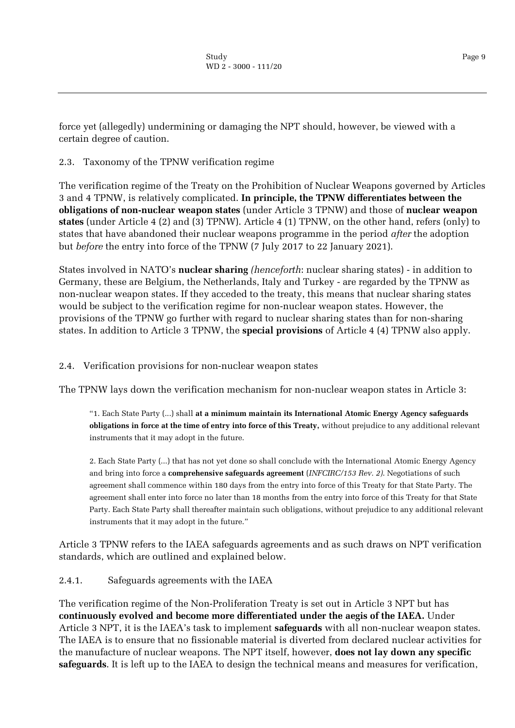force yet (allegedly) undermining or damaging the NPT should, however, be viewed with a certain degree of caution.

# <span id="page-8-0"></span>2.3. Taxonomy of the TPNW verification regime

The verification regime of the Treaty on the Prohibition of Nuclear Weapons governed by Articles 3 and 4 TPNW, is relatively complicated. **In principle, the TPNW differentiates between the obligations of non-nuclear weapon states** (under Article 3 TPNW) and those of **nuclear weapon states** (under Article 4 (2) and (3) TPNW). Article 4 (1) TPNW, on the other hand, refers (only) to states that have abandoned their nuclear weapons programme in the period *after* the adoption but *before* the entry into force of the TPNW (7 July 2017 to 22 January 2021).

States involved in NATO's **nuclear sharing** *(henceforth*: nuclear sharing states) - in addition to Germany, these are Belgium, the Netherlands, Italy and Turkey - are regarded by the TPNW as non-nuclear weapon states. If they acceded to the treaty, this means that nuclear sharing states would be subject to the verification regime for non-nuclear weapon states. However, the provisions of the TPNW go further with regard to nuclear sharing states than for non-sharing states. In addition to Article 3 TPNW, the **special provisions** of Article 4 (4) TPNW also apply.

# <span id="page-8-1"></span>2.4. Verification provisions for non-nuclear weapon states

The TPNW lays down the verification mechanism for non-nuclear weapon states in Article 3:

"1. Each State Party (...) shall **at a minimum maintain its International Atomic Energy Agency safeguards obligations in force at the time of entry into force of this Treaty,** without prejudice to any additional relevant instruments that it may adopt in the future.

2. Each State Party (...) that has not yet done so shall conclude with the International Atomic Energy Agency and bring into force a **comprehensive safeguards agreement** (*INFCIRC/153 Rev. 2)*. Negotiations of such agreement shall commence within 180 days from the entry into force of this Treaty for that State Party. The agreement shall enter into force no later than 18 months from the entry into force of this Treaty for that State Party. Each State Party shall thereafter maintain such obligations, without prejudice to any additional relevant instruments that it may adopt in the future."

Article 3 TPNW refers to the IAEA safeguards agreements and as such draws on NPT verification standards, which are outlined and explained below.

<span id="page-8-2"></span>2.4.1. Safeguards agreements with the IAEA

The verification regime of the Non-Proliferation Treaty is set out in Article 3 NPT but has **continuously evolved and become more differentiated under the aegis of the IAEA.** Under Article 3 NPT, it is the IAEA's task to implement **safeguards** with all non-nuclear weapon states. The IAEA is to ensure that no fissionable material is diverted from declared nuclear activities for the manufacture of nuclear weapons. The NPT itself, however, **does not lay down any specific safeguards**. It is left up to the IAEA to design the technical means and measures for verification,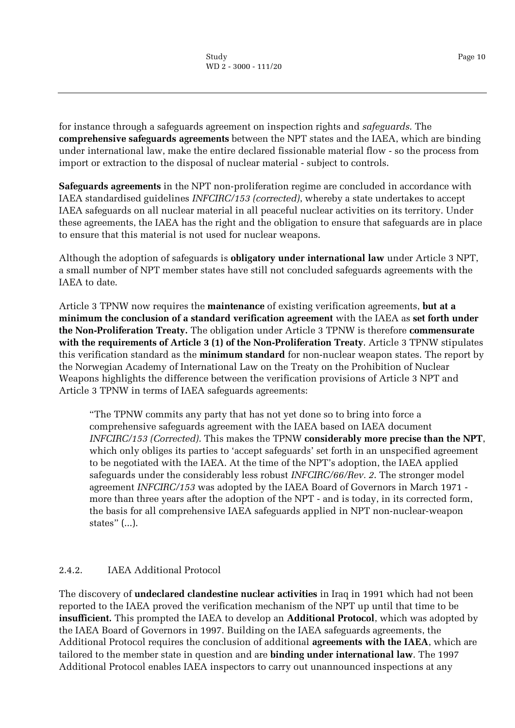for instance through a safeguards agreement on inspection rights and *safeguards.* The **comprehensive safeguards agreements** between the NPT states and the IAEA, which are binding under international law, make the entire declared fissionable material flow - so the process from import or extraction to the disposal of nuclear material - subject to controls.

**Safeguards agreements** in the NPT non-proliferation regime are concluded in accordance with IAEA standardised guidelines *INFCIRC/153 (corrected)*, whereby a state undertakes to accept IAEA safeguards on all nuclear material in all peaceful nuclear activities on its territory. Under these agreements, the IAEA has the right and the obligation to ensure that safeguards are in place to ensure that this material is not used for nuclear weapons.

Although the adoption of safeguards is **obligatory under international law** under Article 3 NPT, a small number of NPT member states have still not concluded safeguards agreements with the IAEA to date.

Article 3 TPNW now requires the **maintenance** of existing verification agreements, **but at a minimum the conclusion of a standard verification agreement** with the IAEA as **set forth under the Non-Proliferation Treaty.** The obligation under Article 3 TPNW is therefore **commensurate with the requirements of Article 3 (1) of the Non-Proliferation Treaty**. Article 3 TPNW stipulates this verification standard as the **minimum standard** for non-nuclear weapon states. The report by the Norwegian Academy of International Law on the Treaty on the Prohibition of Nuclear Weapons highlights the difference between the verification provisions of Article 3 NPT and Article 3 TPNW in terms of IAEA safeguards agreements:

"The TPNW commits any party that has not yet done so to bring into force a comprehensive safeguards agreement with the IAEA based on IAEA document *INFCIRC/153 (Corrected)*. This makes the TPNW **considerably more precise than the NPT**, which only obliges its parties to 'accept safeguards' set forth in an unspecified agreement to be negotiated with the IAEA. At the time of the NPT's adoption, the IAEA applied safeguards under the considerably less robust *INFCIRC/66/Rev. 2*. The stronger model agreement *INFCIRC/153* was adopted by the IAEA Board of Governors in March 1971 more than three years after the adoption of the NPT - and is today, in its corrected form, the basis for all comprehensive IAEA safeguards applied in NPT non-nuclear-weapon states" (...).

# <span id="page-9-0"></span>2.4.2. IAEA Additional Protocol

The discovery of **undeclared clandestine nuclear activities** in Iraq in 1991 which had not been reported to the IAEA proved the verification mechanism of the NPT up until that time to be **insufficient.** This prompted the IAEA to develop an **Additional Protocol**, which was adopted by the IAEA Board of Governors in 1997. Building on the IAEA safeguards agreements, the Additional Protocol requires the conclusion of additional **agreements with the IAEA**, which are tailored to the member state in question and are **binding under international law**. The 1997 Additional Protocol enables IAEA inspectors to carry out unannounced inspections at any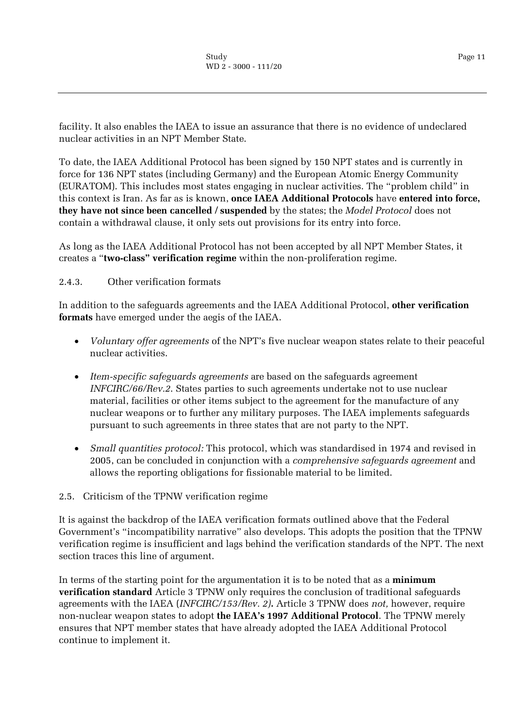facility. It also enables the IAEA to issue an assurance that there is no evidence of undeclared nuclear activities in an NPT Member State.

To date, the IAEA Additional Protocol has been signed by 150 NPT states and is currently in force for 136 NPT states (including Germany) and the European Atomic Energy Community (EURATOM). This includes most states engaging in nuclear activities. The "problem child" in this context is Iran. As far as is known, **once IAEA Additional Protocols** have **entered into force, they have not since been cancelled / suspended** by the states; the *Model Protocol* does not contain a withdrawal clause, it only sets out provisions for its entry into force.

As long as the IAEA Additional Protocol has not been accepted by all NPT Member States, it creates a "**two-class" verification regime** within the non-proliferation regime.

#### <span id="page-10-0"></span>2.4.3. Other verification formats

In addition to the safeguards agreements and the IAEA Additional Protocol, **other verification formats** have emerged under the aegis of the IAEA.

- *Voluntary offer agreements* of the NPT's five nuclear weapon states relate to their peaceful nuclear activities.
- *Item-specific safeguards agreements* are based on the safeguards agreement *INFCIRC/66/Rev.2*. States parties to such agreements undertake not to use nuclear material, facilities or other items subject to the agreement for the manufacture of any nuclear weapons or to further any military purposes. The IAEA implements safeguards pursuant to such agreements in three states that are not party to the NPT.
- *Small quantities protocol:* This protocol, which was standardised in 1974 and revised in 2005, can be concluded in conjunction with a *comprehensive safeguards agreement* and allows the reporting obligations for fissionable material to be limited.
- <span id="page-10-1"></span>2.5. Criticism of the TPNW verification regime

It is against the backdrop of the IAEA verification formats outlined above that the Federal Government's "incompatibility narrative" also develops. This adopts the position that the TPNW verification regime is insufficient and lags behind the verification standards of the NPT. The next section traces this line of argument.

In terms of the starting point for the argumentation it is to be noted that as a **minimum verification standard** Article 3 TPNW only requires the conclusion of traditional safeguards agreements with the IAEA (*INFCIRC/153/Rev. 2)***.** Article 3 TPNW does *not,* however, require non-nuclear weapon states to adopt **the IAEA's 1997 Additional Protocol**. The TPNW merely ensures that NPT member states that have already adopted the IAEA Additional Protocol continue to implement it.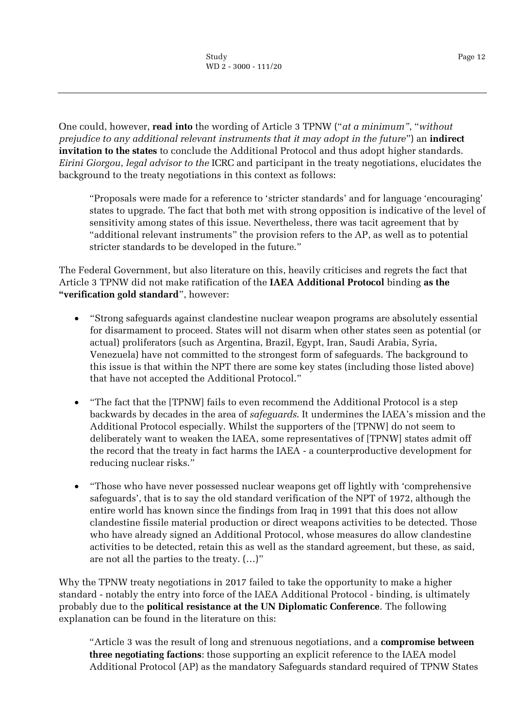One could, however, **read into** the wording of Article 3 TPNW ("*at a minimum"*, "*without prejudice to any additional relevant instruments that it may adopt in the future*") an **indirect invitation to the states** to conclude the Additional Protocol and thus adopt higher standards. *Eirini Giorgou*, *legal advisor to the* ICRC and participant in the treaty negotiations, elucidates the background to the treaty negotiations in this context as follows:

"Proposals were made for a reference to 'stricter standards' and for language 'encouraging' states to upgrade. The fact that both met with strong opposition is indicative of the level of sensitivity among states of this issue. Nevertheless, there was tacit agreement that by "additional relevant instruments" the provision refers to the AP, as well as to potential stricter standards to be developed in the future."

The Federal Government, but also literature on this, heavily criticises and regrets the fact that Article 3 TPNW did not make ratification of the **IAEA Additional Protocol** binding **as the "verification gold standard**", however:

- "Strong safeguards against clandestine nuclear weapon programs are absolutely essential for disarmament to proceed. States will not disarm when other states seen as potential (or actual) proliferators (such as Argentina, Brazil, Egypt, Iran, Saudi Arabia, Syria, Venezuela) have not committed to the strongest form of safeguards. The background to this issue is that within the NPT there are some key states (including those listed above) that have not accepted the Additional Protocol."
- "The fact that the [TPNW] fails to even recommend the Additional Protocol is a step backwards by decades in the area of *safeguards*. It undermines the IAEA's mission and the Additional Protocol especially. Whilst the supporters of the [TPNW] do not seem to deliberately want to weaken the IAEA, some representatives of [TPNW] states admit off the record that the treaty in fact harms the IAEA - a counterproductive development for reducing nuclear risks."
- "Those who have never possessed nuclear weapons get off lightly with 'comprehensive safeguards', that is to say the old standard verification of the NPT of 1972, although the entire world has known since the findings from Iraq in 1991 that this does not allow clandestine fissile material production or direct weapons activities to be detected. Those who have already signed an Additional Protocol, whose measures do allow clandestine activities to be detected, retain this as well as the standard agreement, but these, as said, are not all the parties to the treaty. (…)"

Why the TPNW treaty negotiations in 2017 failed to take the opportunity to make a higher standard - notably the entry into force of the IAEA Additional Protocol - binding, is ultimately probably due to the **political resistance at the UN Diplomatic Conference**. The following explanation can be found in the literature on this:

"Article 3 was the result of long and strenuous negotiations, and a **compromise between three negotiating factions**: those supporting an explicit reference to the IAEA model Additional Protocol (AP) as the mandatory Safeguards standard required of TPNW States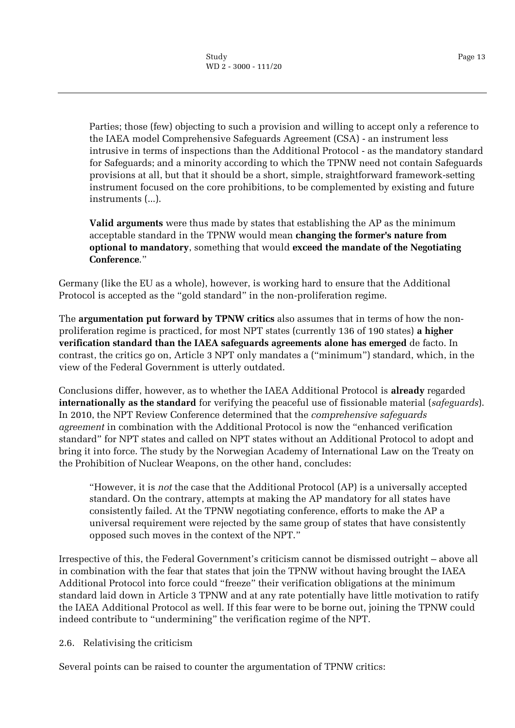Parties; those (few) objecting to such a provision and willing to accept only a reference to the IAEA model Comprehensive Safeguards Agreement (CSA) - an instrument less intrusive in terms of inspections than the Additional Protocol - as the mandatory standard for Safeguards; and a minority according to which the TPNW need not contain Safeguards provisions at all, but that it should be a short, simple, straightforward framework-setting instrument focused on the core prohibitions, to be complemented by existing and future instruments (...).

**Valid arguments** were thus made by states that establishing the AP as the minimum acceptable standard in the TPNW would mean **changing the former's nature from optional to mandatory**, something that would **exceed the mandate of the Negotiating Conference**."

Germany (like the EU as a whole), however, is working hard to ensure that the Additional Protocol is accepted as the "gold standard" in the non-proliferation regime.

The **argumentation put forward by TPNW critics** also assumes that in terms of how the nonproliferation regime is practiced, for most NPT states (currently 136 of 190 states) **a higher verification standard than the IAEA safeguards agreements alone has emerged** de facto. In contrast, the critics go on, Article 3 NPT only mandates a ("minimum") standard, which, in the view of the Federal Government is utterly outdated.

Conclusions differ, however, as to whether the IAEA Additional Protocol is **already** regarded **internationally as the standard** for verifying the peaceful use of fissionable material (*safeguards*). In 2010, the NPT Review Conference determined that the *comprehensive safeguards agreement* in combination with the Additional Protocol is now the "enhanced verification standard" for NPT states and called on NPT states without an Additional Protocol to adopt and bring it into force. The study by the Norwegian Academy of International Law on the Treaty on the Prohibition of Nuclear Weapons, on the other hand, concludes:

"However, it is *not* the case that the Additional Protocol (AP) is a universally accepted standard. On the contrary, attempts at making the AP mandatory for all states have consistently failed. At the TPNW negotiating conference, efforts to make the AP a universal requirement were rejected by the same group of states that have consistently opposed such moves in the context of the NPT."

Irrespective of this, the Federal Government's criticism cannot be dismissed outright – above all in combination with the fear that states that join the TPNW without having brought the IAEA Additional Protocol into force could "freeze" their verification obligations at the minimum standard laid down in Article 3 TPNW and at any rate potentially have little motivation to ratify the IAEA Additional Protocol as well. If this fear were to be borne out, joining the TPNW could indeed contribute to "undermining" the verification regime of the NPT.

# <span id="page-12-0"></span>2.6. Relativising the criticism

Several points can be raised to counter the argumentation of TPNW critics: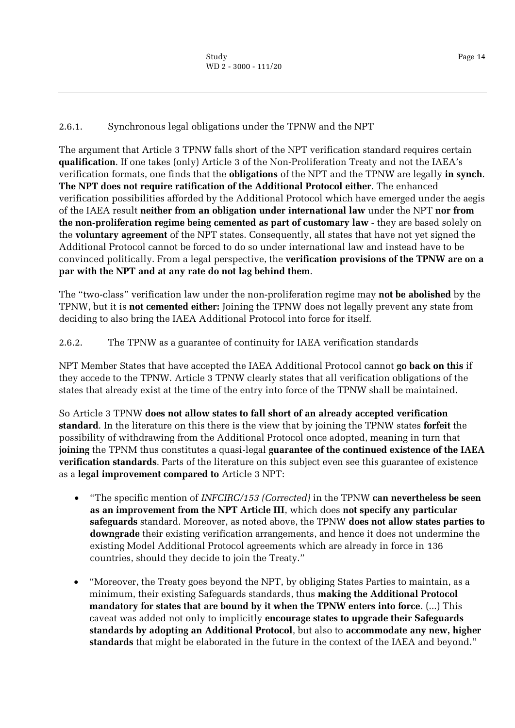# <span id="page-13-0"></span>2.6.1. Synchronous legal obligations under the TPNW and the NPT

The argument that Article 3 TPNW falls short of the NPT verification standard requires certain **qualification**. If one takes (only) Article 3 of the Non-Proliferation Treaty and not the IAEA's verification formats, one finds that the **obligations** of the NPT and the TPNW are legally **in synch**. **The NPT does not require ratification of the Additional Protocol either**. The enhanced verification possibilities afforded by the Additional Protocol which have emerged under the aegis of the IAEA result **neither from an obligation under international law** under the NPT **nor from the non-proliferation regime being cemented as part of customary law** - they are based solely on the **voluntary agreement** of the NPT states. Consequently, all states that have not yet signed the Additional Protocol cannot be forced to do so under international law and instead have to be convinced politically. From a legal perspective, the **verification provisions of the TPNW are on a par with the NPT and at any rate do not lag behind them**.

The "two-class" verification law under the non-proliferation regime may **not be abolished** by the TPNW, but it is **not cemented either:** Joining the TPNW does not legally prevent any state from deciding to also bring the IAEA Additional Protocol into force for itself.

# <span id="page-13-1"></span>2.6.2. The TPNW as a guarantee of continuity for IAEA verification standards

NPT Member States that have accepted the IAEA Additional Protocol cannot **go back on this** if they accede to the TPNW. Article 3 TPNW clearly states that all verification obligations of the states that already exist at the time of the entry into force of the TPNW shall be maintained.

So Article 3 TPNW **does not allow states to fall short of an already accepted verification standard**. In the literature on this there is the view that by joining the TPNW states **forfeit** the possibility of withdrawing from the Additional Protocol once adopted, meaning in turn that **joining** the TPNM thus constitutes a quasi-legal **guarantee of the continued existence of the IAEA verification standards**. Parts of the literature on this subject even see this guarantee of existence as a **legal improvement compared to** Article 3 NPT:

- "The specific mention of *INFCIRC/153 (Corrected)* in the TPNW **can nevertheless be seen as an improvement from the NPT Article III**, which does **not specify any particular safeguards** standard. Moreover, as noted above, the TPNW **does not allow states parties to downgrade** their existing verification arrangements, and hence it does not undermine the existing Model Additional Protocol agreements which are already in force in 136 countries, should they decide to join the Treaty."
- "Moreover, the Treaty goes beyond the NPT, by obliging States Parties to maintain, as a minimum, their existing Safeguards standards, thus **making the Additional Protocol mandatory for states that are bound by it when the TPNW enters into force**. (...) This caveat was added not only to implicitly **encourage states to upgrade their Safeguards standards by adopting an Additional Protocol**, but also to **accommodate any new, higher standards** that might be elaborated in the future in the context of the IAEA and beyond."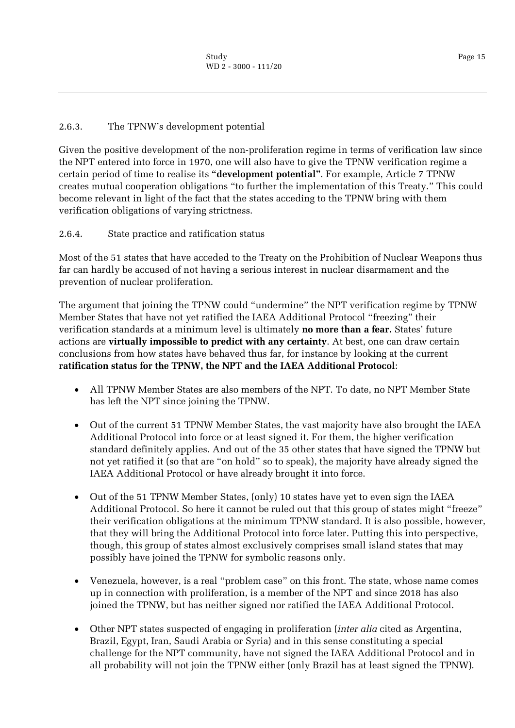# <span id="page-14-0"></span>2.6.3. The TPNW's development potential

Given the positive development of the non-proliferation regime in terms of verification law since the NPT entered into force in 1970, one will also have to give the TPNW verification regime a certain period of time to realise its **"development potential"**. For example, Article 7 TPNW creates mutual cooperation obligations "to further the implementation of this Treaty." This could become relevant in light of the fact that the states acceding to the TPNW bring with them verification obligations of varying strictness.

<span id="page-14-1"></span>2.6.4. State practice and ratification status

Most of the 51 states that have acceded to the Treaty on the Prohibition of Nuclear Weapons thus far can hardly be accused of not having a serious interest in nuclear disarmament and the prevention of nuclear proliferation.

The argument that joining the TPNW could "undermine" the NPT verification regime by TPNW Member States that have not yet ratified the IAEA Additional Protocol "freezing" their verification standards at a minimum level is ultimately **no more than a fear.** States' future actions are **virtually impossible to predict with any certainty**. At best, one can draw certain conclusions from how states have behaved thus far, for instance by looking at the current **ratification status for the TPNW, the NPT and the IAEA Additional Protocol**:

- All TPNW Member States are also members of the NPT. To date, no NPT Member State has left the NPT since joining the TPNW.
- Out of the current 51 TPNW Member States, the vast majority have also brought the IAEA Additional Protocol into force or at least signed it. For them, the higher verification standard definitely applies. And out of the 35 other states that have signed the TPNW but not yet ratified it (so that are "on hold" so to speak), the majority have already signed the IAEA Additional Protocol or have already brought it into force.
- Out of the 51 TPNW Member States, (only) 10 states have yet to even sign the IAEA Additional Protocol. So here it cannot be ruled out that this group of states might "freeze" their verification obligations at the minimum TPNW standard. It is also possible, however, that they will bring the Additional Protocol into force later. Putting this into perspective, though, this group of states almost exclusively comprises small island states that may possibly have joined the TPNW for symbolic reasons only.
- Venezuela, however, is a real "problem case" on this front. The state, whose name comes up in connection with proliferation, is a member of the NPT and since 2018 has also joined the TPNW, but has neither signed nor ratified the IAEA Additional Protocol.
- Other NPT states suspected of engaging in proliferation (*inter alia* cited as Argentina, Brazil, Egypt, Iran, Saudi Arabia or Syria) and in this sense constituting a special challenge for the NPT community, have not signed the IAEA Additional Protocol and in all probability will not join the TPNW either (only Brazil has at least signed the TPNW).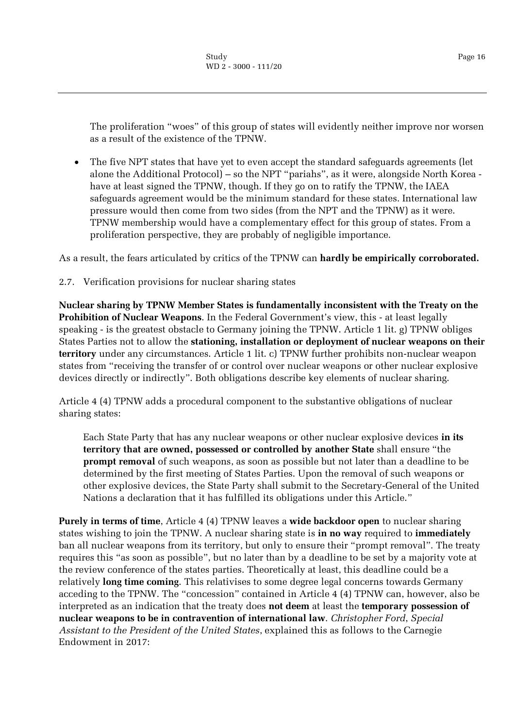Page 16

The proliferation "woes" of this group of states will evidently neither improve nor worsen as a result of the existence of the TPNW.

 The five NPT states that have yet to even accept the standard safeguards agreements (let alone the Additional Protocol) – so the NPT "pariahs", as it were, alongside North Korea have at least signed the TPNW, though. If they go on to ratify the TPNW, the IAEA safeguards agreement would be the minimum standard for these states. International law pressure would then come from two sides (from the NPT and the TPNW) as it were. TPNW membership would have a complementary effect for this group of states. From a proliferation perspective, they are probably of negligible importance.

As a result, the fears articulated by critics of the TPNW can **hardly be empirically corroborated.**

#### <span id="page-15-0"></span>2.7. Verification provisions for nuclear sharing states

**Nuclear sharing by TPNW Member States is fundamentally inconsistent with the Treaty on the Prohibition of Nuclear Weapons**. In the Federal Government's view, this - at least legally speaking - is the greatest obstacle to Germany joining the TPNW. Article 1 lit. g) TPNW obliges States Parties not to allow the **stationing, installation or deployment of nuclear weapons on their territory** under any circumstances. Article 1 lit. c) TPNW further prohibits non-nuclear weapon states from "receiving the transfer of or control over nuclear weapons or other nuclear explosive devices directly or indirectly". Both obligations describe key elements of nuclear sharing.

Article 4 (4) TPNW adds a procedural component to the substantive obligations of nuclear sharing states:

Each State Party that has any nuclear weapons or other nuclear explosive devices **in its territory that are owned, possessed or controlled by another State** shall ensure "the **prompt removal** of such weapons, as soon as possible but not later than a deadline to be determined by the first meeting of States Parties. Upon the removal of such weapons or other explosive devices, the State Party shall submit to the Secretary-General of the United Nations a declaration that it has fulfilled its obligations under this Article."

**Purely in terms of time**, Article 4 (4) TPNW leaves a **wide backdoor open** to nuclear sharing states wishing to join the TPNW. A nuclear sharing state is **in no way** required to **immediately**  ban all nuclear weapons from its territory, but only to ensure their "prompt removal". The treaty requires this "as soon as possible", but no later than by a deadline to be set by a majority vote at the review conference of the states parties. Theoretically at least, this deadline could be a relatively **long time coming**. This relativises to some degree legal concerns towards Germany acceding to the TPNW. The "concession" contained in Article 4 (4) TPNW can, however, also be interpreted as an indication that the treaty does **not deem** at least the **temporary possession of nuclear weapons to be in contravention of international law**. *Christopher Ford*, *Special Assistant to the President of the United States*, explained this as follows to the Carnegie Endowment in 2017: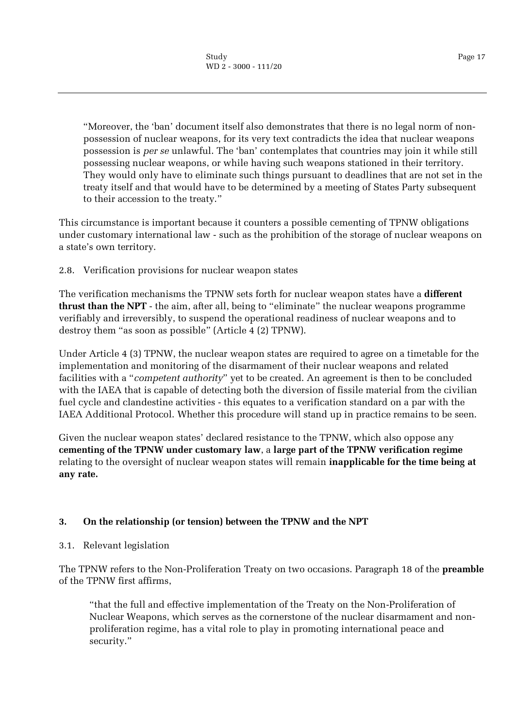"Moreover, the 'ban' document itself also demonstrates that there is no legal norm of nonpossession of nuclear weapons, for its very text contradicts the idea that nuclear weapons possession is *per se* unlawful. The 'ban' contemplates that countries may join it while still possessing nuclear weapons, or while having such weapons stationed in their territory. They would only have to eliminate such things pursuant to deadlines that are not set in the treaty itself and that would have to be determined by a meeting of States Party subsequent to their accession to the treaty."

This circumstance is important because it counters a possible cementing of TPNW obligations under customary international law - such as the prohibition of the storage of nuclear weapons on a state's own territory.

# <span id="page-16-0"></span>2.8. Verification provisions for nuclear weapon states

The verification mechanisms the TPNW sets forth for nuclear weapon states have a **different thrust than the NPT** - the aim, after all, being to "eliminate" the nuclear weapons programme verifiably and irreversibly, to suspend the operational readiness of nuclear weapons and to destroy them "as soon as possible" (Article 4 (2) TPNW).

Under Article 4 (3) TPNW, the nuclear weapon states are required to agree on a timetable for the implementation and monitoring of the disarmament of their nuclear weapons and related facilities with a "*competent authority*" yet to be created. An agreement is then to be concluded with the IAEA that is capable of detecting both the diversion of fissile material from the civilian fuel cycle and clandestine activities - this equates to a verification standard on a par with the IAEA Additional Protocol. Whether this procedure will stand up in practice remains to be seen.

Given the nuclear weapon states' declared resistance to the TPNW, which also oppose any **cementing of the TPNW under customary law**, a **large part of the TPNW verification regime**  relating to the oversight of nuclear weapon states will remain **inapplicable for the time being at any rate.**

# <span id="page-16-1"></span>**3. On the relationship (or tension) between the TPNW and the NPT**

<span id="page-16-2"></span>3.1. Relevant legislation

The TPNW refers to the Non-Proliferation Treaty on two occasions. Paragraph 18 of the **preamble**  of the TPNW first affirms,

"that the full and effective implementation of the Treaty on the Non-Proliferation of Nuclear Weapons, which serves as the cornerstone of the nuclear disarmament and nonproliferation regime, has a vital role to play in promoting international peace and security."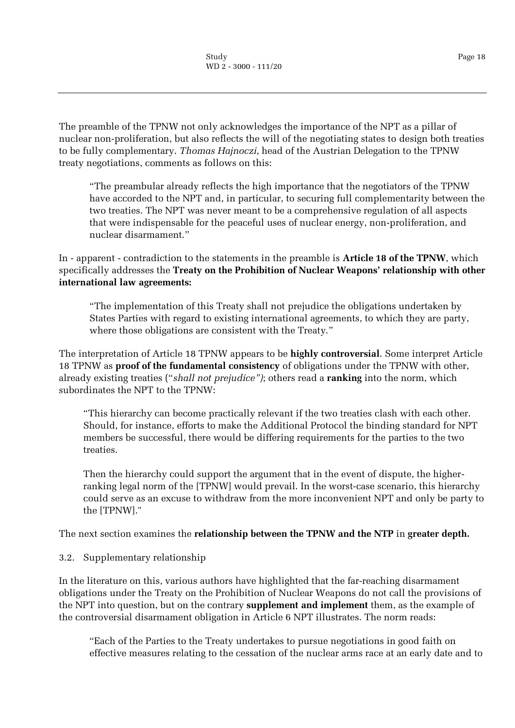The preamble of the TPNW not only acknowledges the importance of the NPT as a pillar of nuclear non-proliferation, but also reflects the will of the negotiating states to design both treaties to be fully complementary. *Thomas Hajnoczi*, head of the Austrian Delegation to the TPNW treaty negotiations, comments as follows on this:

"The preambular already reflects the high importance that the negotiators of the TPNW have accorded to the NPT and, in particular, to securing full complementarity between the two treaties. The NPT was never meant to be a comprehensive regulation of all aspects that were indispensable for the peaceful uses of nuclear energy, non-proliferation, and nuclear disarmament."

In - apparent - contradiction to the statements in the preamble is **Article 18 of the TPNW**, which specifically addresses the **Treaty on the Prohibition of Nuclear Weapons' relationship with other international law agreements:**

"The implementation of this Treaty shall not prejudice the obligations undertaken by States Parties with regard to existing international agreements, to which they are party, where those obligations are consistent with the Treaty."

The interpretation of Article 18 TPNW appears to be **highly controversial**. Some interpret Article 18 TPNW as **proof of the fundamental consistency** of obligations under the TPNW with other, already existing treaties ("*shall not prejudice")*; others read a **ranking** into the norm, which subordinates the NPT to the TPNW:

"This hierarchy can become practically relevant if the two treaties clash with each other. Should, for instance, efforts to make the Additional Protocol the binding standard for NPT members be successful, there would be differing requirements for the parties to the two treaties.

Then the hierarchy could support the argument that in the event of dispute, the higherranking legal norm of the [TPNW] would prevail. In the worst-case scenario, this hierarchy could serve as an excuse to withdraw from the more inconvenient NPT and only be party to the [TPNW]."

# The next section examines the **relationship between the TPNW and the NTP** in **greater depth.**

# <span id="page-17-0"></span>3.2. Supplementary relationship

In the literature on this, various authors have highlighted that the far-reaching disarmament obligations under the Treaty on the Prohibition of Nuclear Weapons do not call the provisions of the NPT into question, but on the contrary **supplement and implement** them, as the example of the controversial disarmament obligation in Article 6 NPT illustrates. The norm reads:

"Each of the Parties to the Treaty undertakes to pursue negotiations in good faith on effective measures relating to the cessation of the nuclear arms race at an early date and to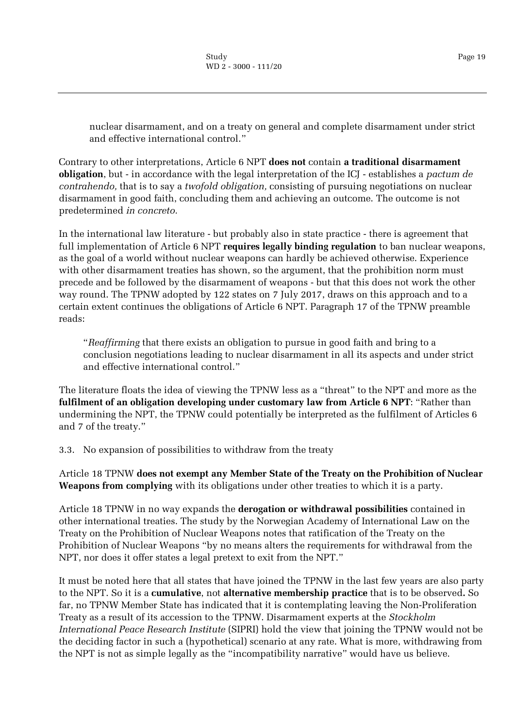nuclear disarmament, and on a treaty on general and complete disarmament under strict and effective international control."

Contrary to other interpretations, Article 6 NPT **does not** contain **a traditional disarmament obligation**, but - in accordance with the legal interpretation of the ICJ - establishes a *pactum de contrahendo,* that is to say a *twofold obligation,* consisting of pursuing negotiations on nuclear disarmament in good faith, concluding them and achieving an outcome. The outcome is not predetermined *in concreto.*

In the international law literature - but probably also in state practice - there is agreement that full implementation of Article 6 NPT **requires legally binding regulation** to ban nuclear weapons, as the goal of a world without nuclear weapons can hardly be achieved otherwise. Experience with other disarmament treaties has shown, so the argument, that the prohibition norm must precede and be followed by the disarmament of weapons - but that this does not work the other way round. The TPNW adopted by 122 states on 7 July 2017, draws on this approach and to a certain extent continues the obligations of Article 6 NPT. Paragraph 17 of the TPNW preamble reads:

"*Reaffirming* that there exists an obligation to pursue in good faith and bring to a conclusion negotiations leading to nuclear disarmament in all its aspects and under strict and effective international control."

The literature floats the idea of viewing the TPNW less as a "threat" to the NPT and more as the **fulfilment of an obligation developing under customary law from Article 6 NPT**: "Rather than undermining the NPT, the TPNW could potentially be interpreted as the fulfilment of Articles 6 and 7 of the treaty."

<span id="page-18-0"></span>3.3. No expansion of possibilities to withdraw from the treaty

Article 18 TPNW **does not exempt any Member State of the Treaty on the Prohibition of Nuclear Weapons from complying** with its obligations under other treaties to which it is a party.

Article 18 TPNW in no way expands the **derogation or withdrawal possibilities** contained in other international treaties. The study by the Norwegian Academy of International Law on the Treaty on the Prohibition of Nuclear Weapons notes that ratification of the Treaty on the Prohibition of Nuclear Weapons "by no means alters the requirements for withdrawal from the NPT, nor does it offer states a legal pretext to exit from the NPT."

It must be noted here that all states that have joined the TPNW in the last few years are also party to the NPT. So it is a **cumulative**, not **alternative membership practice** that is to be observed**.** So far, no TPNW Member State has indicated that it is contemplating leaving the Non-Proliferation Treaty as a result of its accession to the TPNW. Disarmament experts at the *Stockholm International Peace Research Institute* (SIPRI) hold the view that joining the TPNW would not be the deciding factor in such a (hypothetical) scenario at any rate. What is more, withdrawing from the NPT is not as simple legally as the "incompatibility narrative" would have us believe.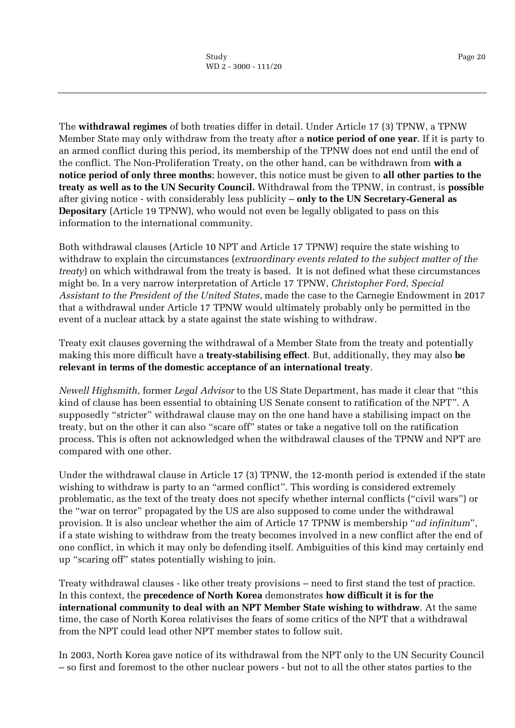Page 20

The **withdrawal regimes** of both treaties differ in detail. Under Article 17 (3) TPNW, a TPNW Member State may only withdraw from the treaty after a **notice period of one year**. If it is party to an armed conflict during this period, its membership of the TPNW does not end until the end of the conflict. The Non-Proliferation Treaty, on the other hand, can be withdrawn from **with a notice period of only three months**; however, this notice must be given to **all other parties to the treaty as well as to the UN Security Council.** Withdrawal from the TPNW, in contrast, is **possible**  after giving notice - with considerably less publicity – **only to the UN Secretary-General as Depositary** (Article 19 TPNW), who would not even be legally obligated to pass on this information to the international community.

Both withdrawal clauses (Article 10 NPT and Article 17 TPNW) require the state wishing to withdraw to explain the circumstances (*extraordinary events related to the subject matter of the treaty*) on which withdrawal from the treaty is based. It is not defined what these circumstances might be. In a very narrow interpretation of Article 17 TPNW, *Christopher Ford*, *Special Assistant to the President of the United States*, made the case to the Carnegie Endowment in 2017 that a withdrawal under Article 17 TPNW would ultimately probably only be permitted in the event of a nuclear attack by a state against the state wishing to withdraw.

Treaty exit clauses governing the withdrawal of a Member State from the treaty and potentially making this more difficult have a **treaty-stabilising effect**. But, additionally, they may also **be relevant in terms of the domestic acceptance of an international treaty**.

*Newell Highsmith*, former *Legal Advisor* to the US State Department, has made it clear that "this kind of clause has been essential to obtaining US Senate consent to ratification of the NPT". A supposedly "stricter" withdrawal clause may on the one hand have a stabilising impact on the treaty, but on the other it can also "scare off" states or take a negative toll on the ratification process. This is often not acknowledged when the withdrawal clauses of the TPNW and NPT are compared with one other.

Under the withdrawal clause in Article 17 (3) TPNW, the 12-month period is extended if the state wishing to withdraw is party to an "armed conflict". This wording is considered extremely problematic, as the text of the treaty does not specify whether internal conflicts ("civil wars") or the "war on terror" propagated by the US are also supposed to come under the withdrawal provision. It is also unclear whether the aim of Article 17 TPNW is membership "*ad infinitum*", if a state wishing to withdraw from the treaty becomes involved in a new conflict after the end of one conflict, in which it may only be defending itself. Ambiguities of this kind may certainly end up "scaring off" states potentially wishing to join.

Treaty withdrawal clauses - like other treaty provisions – need to first stand the test of practice. In this context, the **precedence of North Korea** demonstrates **how difficult it is for the international community to deal with an NPT Member State wishing to withdraw**. At the same time, the case of North Korea relativises the fears of some critics of the NPT that a withdrawal from the NPT could lead other NPT member states to follow suit.

In 2003, North Korea gave notice of its withdrawal from the NPT only to the UN Security Council – so first and foremost to the other nuclear powers - but not to all the other states parties to the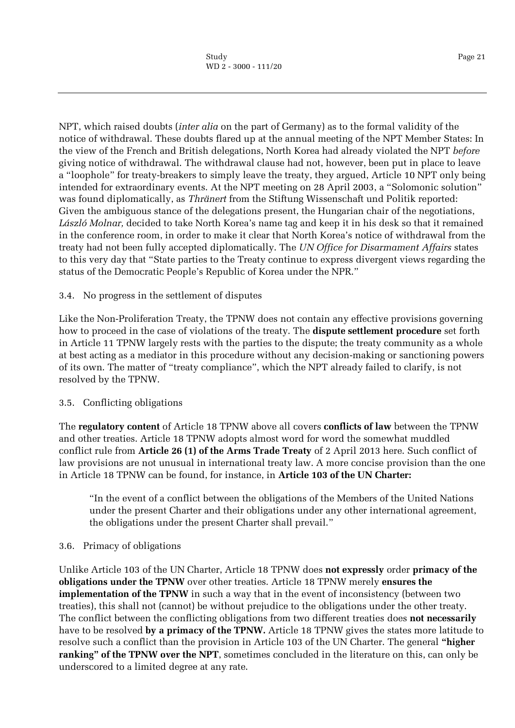NPT, which raised doubts (*inter alia* on the part of Germany) as to the formal validity of the notice of withdrawal. These doubts flared up at the annual meeting of the NPT Member States: In the view of the French and British delegations, North Korea had already violated the NPT *before*  giving notice of withdrawal. The withdrawal clause had not, however, been put in place to leave a "loophole" for treaty-breakers to simply leave the treaty, they argued, Article 10 NPT only being intended for extraordinary events. At the NPT meeting on 28 April 2003, a "Solomonic solution" was found diplomatically, as *Thränert* from the Stiftung Wissenschaft und Politik reported: Given the ambiguous stance of the delegations present, the Hungarian chair of the negotiations, *László Molnar,* decided to take North Korea's name tag and keep it in his desk so that it remained in the conference room, in order to make it clear that North Korea's notice of withdrawal from the treaty had not been fully accepted diplomatically. The *UN Office for Disarmament Affairs* states to this very day that "State parties to the Treaty continue to express divergent views regarding the status of the Democratic People's Republic of Korea under the NPR."

#### <span id="page-20-0"></span>3.4. No progress in the settlement of disputes

Like the Non-Proliferation Treaty, the TPNW does not contain any effective provisions governing how to proceed in the case of violations of the treaty. The **dispute settlement procedure** set forth in Article 11 TPNW largely rests with the parties to the dispute; the treaty community as a whole at best acting as a mediator in this procedure without any decision-making or sanctioning powers of its own. The matter of "treaty compliance", which the NPT already failed to clarify, is not resolved by the TPNW.

#### <span id="page-20-1"></span>3.5. Conflicting obligations

The **regulatory content** of Article 18 TPNW above all covers **conflicts of law** between the TPNW and other treaties. Article 18 TPNW adopts almost word for word the somewhat muddled conflict rule from **Article 26 (1) of the Arms Trade Treaty** of 2 April 2013 here. Such conflict of law provisions are not unusual in international treaty law. A more concise provision than the one in Article 18 TPNW can be found, for instance, in **Article 103 of the UN Charter:**

"In the event of a conflict between the obligations of the Members of the United Nations under the present Charter and their obligations under any other international agreement, the obligations under the present Charter shall prevail."

#### <span id="page-20-2"></span>3.6. Primacy of obligations

Unlike Article 103 of the UN Charter, Article 18 TPNW does **not expressly** order **primacy of the obligations under the TPNW** over other treaties. Article 18 TPNW merely **ensures the implementation of the TPNW** in such a way that in the event of inconsistency (between two treaties), this shall not (cannot) be without prejudice to the obligations under the other treaty. The conflict between the conflicting obligations from two different treaties does **not necessarily**  have to be resolved **by a primacy of the TPNW.** Article 18 TPNW gives the states more latitude to resolve such a conflict than the provision in Article 103 of the UN Charter. The general **"higher ranking" of the TPNW over the NPT**, sometimes concluded in the literature on this, can only be underscored to a limited degree at any rate.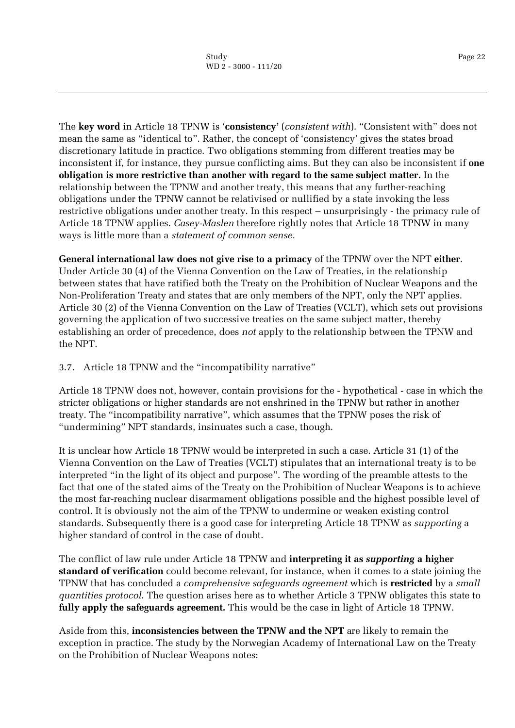The **key word** in Article 18 TPNW is '**consistency'** (*consistent with*). "Consistent with" does not mean the same as "identical to". Rather, the concept of 'consistency' gives the states broad discretionary latitude in practice. Two obligations stemming from different treaties may be inconsistent if, for instance, they pursue conflicting aims. But they can also be inconsistent if **one obligation is more restrictive than another with regard to the same subject matter.** In the relationship between the TPNW and another treaty, this means that any further-reaching obligations under the TPNW cannot be relativised or nullified by a state invoking the less restrictive obligations under another treaty. In this respect – unsurprisingly - the primacy rule of Article 18 TPNW applies. *Casey-Maslen* therefore rightly notes that Article 18 TPNW in many ways is little more than a *statement of common sense.*

**General international law does not give rise to a primacy** of the TPNW over the NPT **either**. Under Article 30 (4) of the Vienna Convention on the Law of Treaties, in the relationship between states that have ratified both the Treaty on the Prohibition of Nuclear Weapons and the Non-Proliferation Treaty and states that are only members of the NPT, only the NPT applies. Article 30 (2) of the Vienna Convention on the Law of Treaties (VCLT), which sets out provisions governing the application of two successive treaties on the same subject matter, thereby establishing an order of precedence, does *not* apply to the relationship between the TPNW and the NPT.

<span id="page-21-0"></span>3.7. Article 18 TPNW and the "incompatibility narrative"

Article 18 TPNW does not, however, contain provisions for the - hypothetical - case in which the stricter obligations or higher standards are not enshrined in the TPNW but rather in another treaty. The "incompatibility narrative", which assumes that the TPNW poses the risk of "undermining" NPT standards, insinuates such a case, though.

It is unclear how Article 18 TPNW would be interpreted in such a case. Article 31 (1) of the Vienna Convention on the Law of Treaties (VCLT) stipulates that an international treaty is to be interpreted "in the light of its object and purpose". The wording of the preamble attests to the fact that one of the stated aims of the Treaty on the Prohibition of Nuclear Weapons is to achieve the most far-reaching nuclear disarmament obligations possible and the highest possible level of control. It is obviously not the aim of the TPNW to undermine or weaken existing control standards. Subsequently there is a good case for interpreting Article 18 TPNW as *supporting* a higher standard of control in the case of doubt.

The conflict of law rule under Article 18 TPNW and **interpreting it as** *supporting* **a higher standard of verification** could become relevant, for instance, when it comes to a state joining the TPNW that has concluded a *comprehensive safeguards agreement* which is **restricted** by a *small quantities protocol*. The question arises here as to whether Article 3 TPNW obligates this state to **fully apply the safeguards agreement.** This would be the case in light of Article 18 TPNW.

Aside from this, **inconsistencies between the TPNW and the NPT** are likely to remain the exception in practice. The study by the Norwegian Academy of International Law on the Treaty on the Prohibition of Nuclear Weapons notes: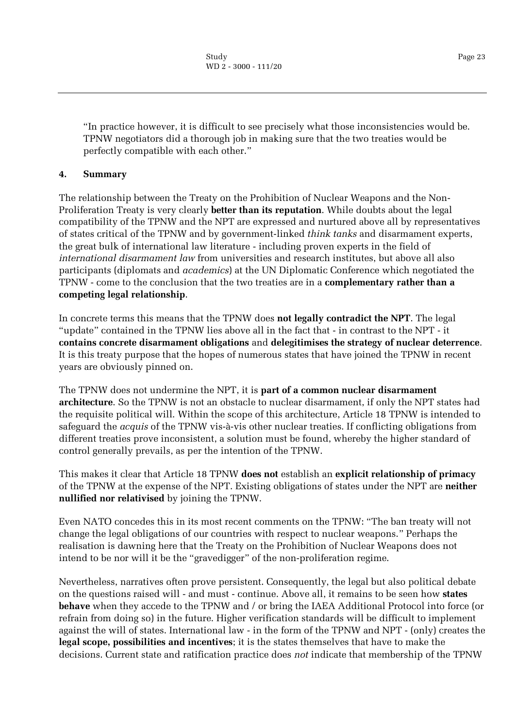"In practice however, it is difficult to see precisely what those inconsistencies would be. TPNW negotiators did a thorough job in making sure that the two treaties would be perfectly compatible with each other."

#### <span id="page-22-0"></span>**4. Summary**

The relationship between the Treaty on the Prohibition of Nuclear Weapons and the Non-Proliferation Treaty is very clearly **better than its reputation**. While doubts about the legal compatibility of the TPNW and the NPT are expressed and nurtured above all by representatives of states critical of the TPNW and by government-linked *think tanks* and disarmament experts, the great bulk of international law literature - including proven experts in the field of *international disarmament law* from universities and research institutes, but above all also participants (diplomats and *academics*) at the UN Diplomatic Conference which negotiated the TPNW - come to the conclusion that the two treaties are in a **complementary rather than a competing legal relationship**.

In concrete terms this means that the TPNW does **not legally contradict the NPT**. The legal "update" contained in the TPNW lies above all in the fact that - in contrast to the NPT - it **contains concrete disarmament obligations** and **delegitimises the strategy of nuclear deterrence**. It is this treaty purpose that the hopes of numerous states that have joined the TPNW in recent years are obviously pinned on.

The TPNW does not undermine the NPT, it is **part of a common nuclear disarmament architecture**. So the TPNW is not an obstacle to nuclear disarmament, if only the NPT states had the requisite political will. Within the scope of this architecture, Article 18 TPNW is intended to safeguard the *acquis* of the TPNW vis-à-vis other nuclear treaties. If conflicting obligations from different treaties prove inconsistent, a solution must be found, whereby the higher standard of control generally prevails, as per the intention of the TPNW.

This makes it clear that Article 18 TPNW **does not** establish an **explicit relationship of primacy** of the TPNW at the expense of the NPT. Existing obligations of states under the NPT are **neither nullified nor relativised** by joining the TPNW.

Even NATO concedes this in its most recent comments on the TPNW: "The ban treaty will not change the legal obligations of our countries with respect to nuclear weapons." Perhaps the realisation is dawning here that the Treaty on the Prohibition of Nuclear Weapons does not intend to be nor will it be the "gravedigger" of the non-proliferation regime.

Nevertheless, narratives often prove persistent. Consequently, the legal but also political debate on the questions raised will - and must - continue. Above all, it remains to be seen how **states behave** when they accede to the TPNW and / or bring the IAEA Additional Protocol into force (or refrain from doing so) in the future. Higher verification standards will be difficult to implement against the will of states. International law - in the form of the TPNW and NPT - (only) creates the **legal scope, possibilities and incentives**; it is the states themselves that have to make the decisions. Current state and ratification practice does *not* indicate that membership of the TPNW